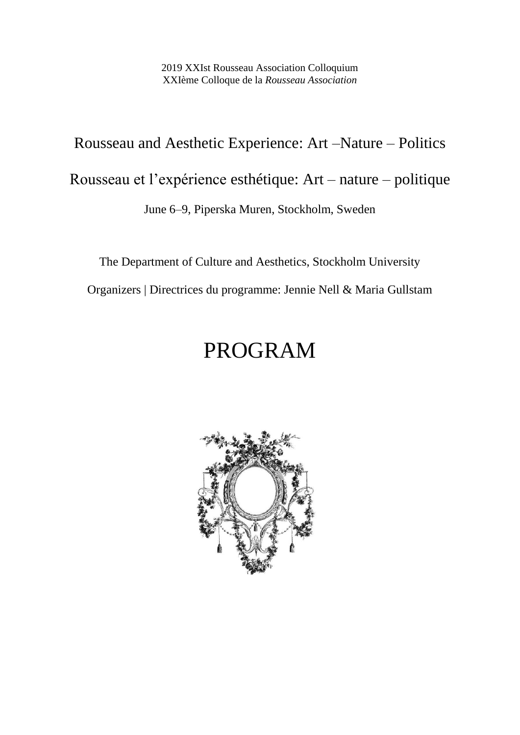2019 XXIst Rousseau Association Colloquium XXIème Colloque de la *Rousseau Association*

# Rousseau and Aesthetic Experience: Art –Nature – Politics

Rousseau et l'expérience esthétique: Art – nature – politique

June 6–9, Piperska Muren, Stockholm, Sweden

The Department of Culture and Aesthetics, Stockholm University

Organizers | Directrices du programme: Jennie Nell & Maria Gullstam

# PROGRAM

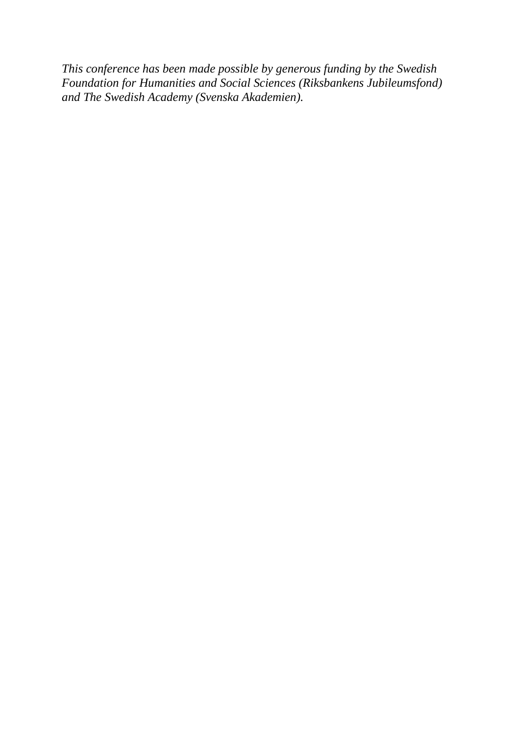*This conference has been made possible by generous funding by the Swedish Foundation for Humanities and Social Sciences (Riksbankens Jubileumsfond) and The Swedish Academy (Svenska Akademien).*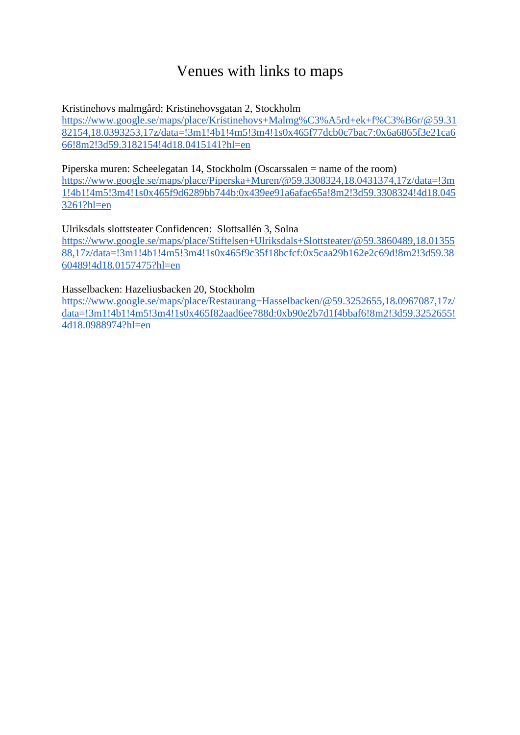# Venues with links to maps

## Kristinehovs malmgård: Kristinehovsgatan 2, Stockholm

[https://www.google.se/maps/place/Kristinehovs+Malmg%C3%A5rd+ek+f%C3%B6r/@59.31](https://www.google.se/maps/place/Kristinehovs+Malmg%C3%A5rd+ek+f%C3%B6r/@59.3182154,18.0393253,17z/data=!3m1!4b1!4m5!3m4!1s0x465f77dcb0c7bac7:0x6a6865f3e21ca666!8m2!3d59.3182154!4d18.0415141?hl=en) [82154,18.0393253,17z/data=!3m1!4b1!4m5!3m4!1s0x465f77dcb0c7bac7:0x6a6865f3e21ca6](https://www.google.se/maps/place/Kristinehovs+Malmg%C3%A5rd+ek+f%C3%B6r/@59.3182154,18.0393253,17z/data=!3m1!4b1!4m5!3m4!1s0x465f77dcb0c7bac7:0x6a6865f3e21ca666!8m2!3d59.3182154!4d18.0415141?hl=en) [66!8m2!3d59.3182154!4d18.0415141?hl=en](https://www.google.se/maps/place/Kristinehovs+Malmg%C3%A5rd+ek+f%C3%B6r/@59.3182154,18.0393253,17z/data=!3m1!4b1!4m5!3m4!1s0x465f77dcb0c7bac7:0x6a6865f3e21ca666!8m2!3d59.3182154!4d18.0415141?hl=en)

#### Piperska muren: Scheelegatan 14, Stockholm (Oscarssalen = name of the room)

[https://www.google.se/maps/place/Piperska+Muren/@59.3308324,18.0431374,17z/data=!3m](https://www.google.se/maps/place/Piperska+Muren/@59.3308324,18.0431374,17z/data=!3m1!4b1!4m5!3m4!1s0x465f9d6289bb744b:0x439ee91a6afac65a!8m2!3d59.3308324!4d18.0453261?hl=en) [1!4b1!4m5!3m4!1s0x465f9d6289bb744b:0x439ee91a6afac65a!8m2!3d59.3308324!4d18.045](https://www.google.se/maps/place/Piperska+Muren/@59.3308324,18.0431374,17z/data=!3m1!4b1!4m5!3m4!1s0x465f9d6289bb744b:0x439ee91a6afac65a!8m2!3d59.3308324!4d18.0453261?hl=en) [3261?hl=en](https://www.google.se/maps/place/Piperska+Muren/@59.3308324,18.0431374,17z/data=!3m1!4b1!4m5!3m4!1s0x465f9d6289bb744b:0x439ee91a6afac65a!8m2!3d59.3308324!4d18.0453261?hl=en)

#### Ulriksdals slottsteater Confidencen: Slottsallén 3, Solna

[https://www.google.se/maps/place/Stiftelsen+Ulriksdals+Slottsteater/@59.3860489,18.01355](https://www.google.se/maps/place/Stiftelsen+Ulriksdals+Slottsteater/@59.3860489,18.0135588,17z/data=!3m1!4b1!4m5!3m4!1s0x465f9c35f18bcfcf:0x5caa29b162e2c69d!8m2!3d59.3860489!4d18.0157475?hl=en) [88,17z/data=!3m1!4b1!4m5!3m4!1s0x465f9c35f18bcfcf:0x5caa29b162e2c69d!8m2!3d59.38](https://www.google.se/maps/place/Stiftelsen+Ulriksdals+Slottsteater/@59.3860489,18.0135588,17z/data=!3m1!4b1!4m5!3m4!1s0x465f9c35f18bcfcf:0x5caa29b162e2c69d!8m2!3d59.3860489!4d18.0157475?hl=en) [60489!4d18.0157475?hl=en](https://www.google.se/maps/place/Stiftelsen+Ulriksdals+Slottsteater/@59.3860489,18.0135588,17z/data=!3m1!4b1!4m5!3m4!1s0x465f9c35f18bcfcf:0x5caa29b162e2c69d!8m2!3d59.3860489!4d18.0157475?hl=en)

## Hasselbacken: Hazeliusbacken 20, Stockholm

[https://www.google.se/maps/place/Restaurang+Hasselbacken/@59.3252655,18.0967087,17z/](https://www.google.se/maps/place/Restaurang+Hasselbacken/@59.3252655,18.0967087,17z/data=!3m1!4b1!4m5!3m4!1s0x465f82aad6ee788d:0xb90e2b7d1f4bbaf6!8m2!3d59.3252655!4d18.0988974?hl=en) [data=!3m1!4b1!4m5!3m4!1s0x465f82aad6ee788d:0xb90e2b7d1f4bbaf6!8m2!3d59.3252655!](https://www.google.se/maps/place/Restaurang+Hasselbacken/@59.3252655,18.0967087,17z/data=!3m1!4b1!4m5!3m4!1s0x465f82aad6ee788d:0xb90e2b7d1f4bbaf6!8m2!3d59.3252655!4d18.0988974?hl=en) [4d18.0988974?hl=en](https://www.google.se/maps/place/Restaurang+Hasselbacken/@59.3252655,18.0967087,17z/data=!3m1!4b1!4m5!3m4!1s0x465f82aad6ee788d:0xb90e2b7d1f4bbaf6!8m2!3d59.3252655!4d18.0988974?hl=en)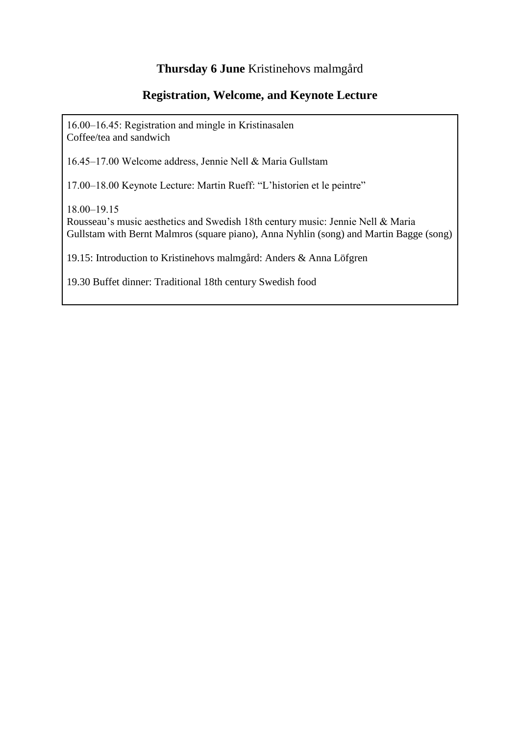## **Thursday 6 June** Kristinehovs malmgård

## **Registration, Welcome, and Keynote Lecture**

16.00–16.45: Registration and mingle in Kristinasalen Coffee/tea and sandwich

16.45‒17.00 Welcome address, Jennie Nell & Maria Gullstam

17.00‒18.00 Keynote Lecture: Martin Rueff: "L'historien et le peintre"

18.00‒19.15

Rousseau's music aesthetics and Swedish 18th century music: Jennie Nell & Maria Gullstam with Bernt Malmros (square piano), Anna Nyhlin (song) and Martin Bagge (song)

19.15: Introduction to Kristinehovs malmgård: Anders & Anna Löfgren

19.30 Buffet dinner: Traditional 18th century Swedish food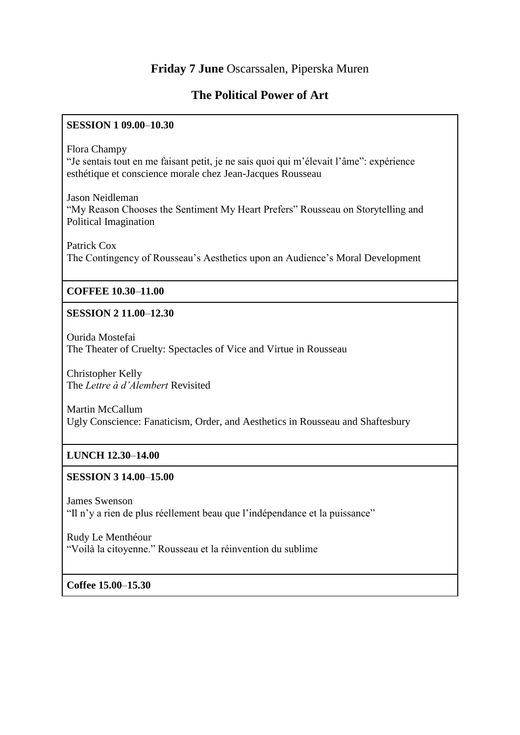## **Friday 7 June** Oscarssalen, Piperska Muren

## **The Political Power of Art**

#### **SESSION 1 09.00**‒**10.30**

Flora Champy

"Je sentais tout en me faisant petit, je ne sais quoi qui m'élevait l'âme": expérience esthétique et conscience morale chez Jean-Jacques Rousseau

Jason Neidleman "My Reason Chooses the Sentiment My Heart Prefers" Rousseau on Storytelling and Political Imagination

Patrick Cox The Contingency of Rousseau's Aesthetics upon an Audience's Moral Development

## **COFFEE 10.30**‒**11.00**

## **SESSION 2 11.00**‒**12.30**

Ourida Mostefai The Theater of Cruelty: Spectacles of Vice and Virtue in Rousseau

Christopher Kelly The *Lettre à d'Alembert* Revisited

Martin McCallum Ugly Conscience: Fanaticism, Order, and Aesthetics in Rousseau and Shaftesbury

## **LUNCH 12.30**‒**14.00**

## **SESSION 3 14.00**‒**15.00**

James Swenson "Il n'y a rien de plus réellement beau que l'indépendance et la puissance"

Rudy Le Menthéour

"Voilà la citoyenne." Rousseau et la réinvention du sublime

**Coffee 15.00**‒**15.30**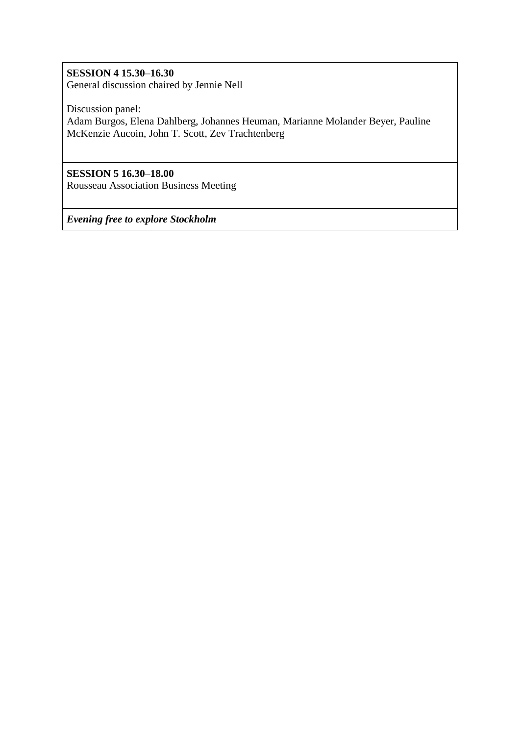## **SESSION 4 15.30**‒**16.30**

General discussion chaired by Jennie Nell

Discussion panel:

Adam Burgos, Elena Dahlberg, Johannes Heuman, Marianne Molander Beyer, Pauline McKenzie Aucoin, John T. Scott, Zev Trachtenberg

## **SESSION 5 16.30**‒**18.00**

Rousseau Association Business Meeting

*Evening free to explore Stockholm*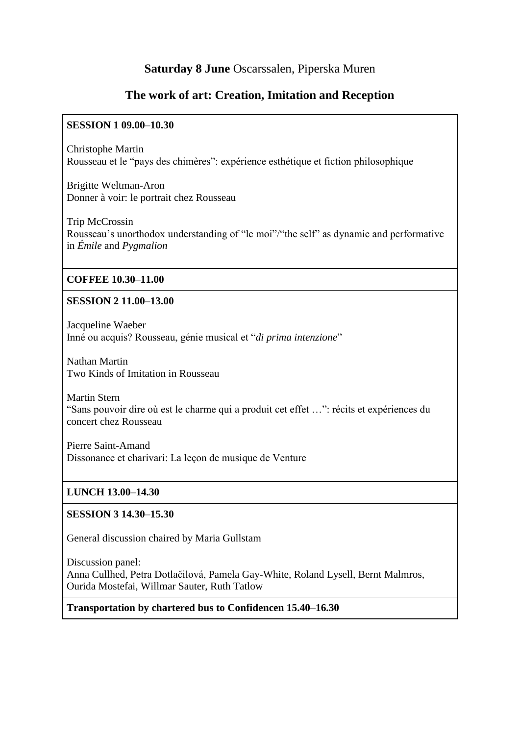## **Saturday 8 June** Oscarssalen, Piperska Muren

## **The work of art: Creation, Imitation and Reception**

#### **SESSION 1 09.00**‒**10.30**

Christophe Martin Rousseau et le "pays des chimères": expérience esthétique et fiction philosophique

Brigitte Weltman-Aron Donner à voir: le portrait chez Rousseau

Trip McCrossin Rousseau's unorthodox understanding of "le moi"/" the self" as dynamic and performative in *Émile* and *Pygmalion*

#### **COFFEE 10.30**‒**11.00**

#### **SESSION 2 11.00**‒**13.00**

Jacqueline Waeber Inné ou acquis? Rousseau, génie musical et "*di prima intenzione*"

Nathan Martin Two Kinds of Imitation in Rousseau

Martin Stern "Sans pouvoir dire où est le charme qui a produit cet effet …": récits et expériences du concert chez Rousseau

Pierre Saint-Amand Dissonance et charivari: La leçon de musique de Venture

## **LUNCH 13.00**‒**14.30**

## **SESSION 3 14.30**‒**15.30**

General discussion chaired by Maria Gullstam

Discussion panel: Anna Cullhed, Petra Dotlačilová, Pamela Gay-White, Roland Lysell, Bernt Malmros, Ourida Mostefai, Willmar Sauter, Ruth Tatlow

**Transportation by chartered bus to Confidencen 15.40**‒**16.30**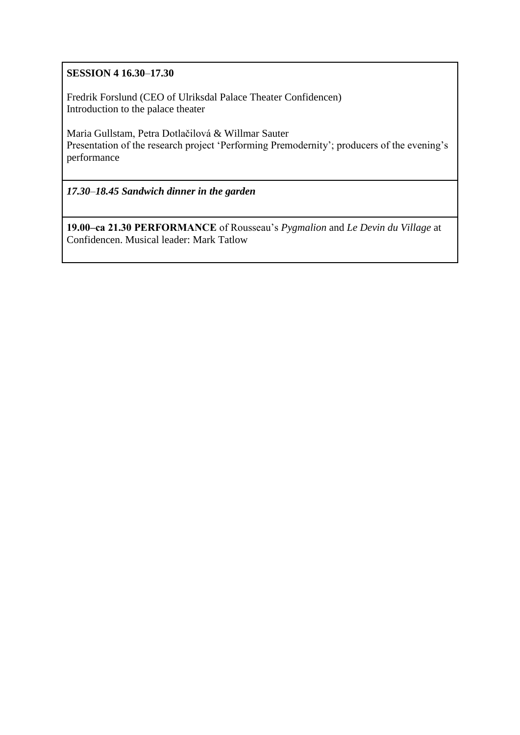## **SESSION 4 16.30**‒**17.30**

Fredrik Forslund (CEO of Ulriksdal Palace Theater Confidencen) Introduction to the palace theater

Maria Gullstam, Petra Dotlačilová & Willmar Sauter Presentation of the research project 'Performing Premodernity'; producers of the evening's performance

*17.30*‒*18.45 Sandwich dinner in the garden*

**19.00‒ca 21.30 PERFORMANCE** of Rousseau's *Pygmalion* and *Le Devin du Village* at Confidencen. Musical leader: Mark Tatlow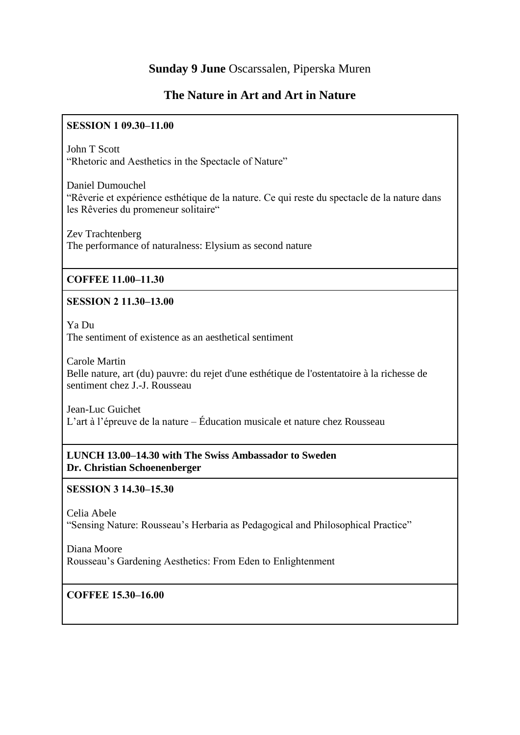## **Sunday 9 June** Oscarssalen, Piperska Muren

## **The Nature in Art and Art in Nature**

## **SESSION 1 09.30-11.00**

John T Scott "Rhetoric and Aesthetics in the Spectacle of Nature"

Daniel Dumouchel "Rêverie et expérience esthétique de la nature. Ce qui reste du spectacle de la nature dans les Rêveries du promeneur solitaire"

Zev Trachtenberg The performance of naturalness: Elysium as second nature

## **COFFEE 11.00‒11.30**

## **SESSION 2 11.30‒13.00**

Ya Du The sentiment of existence as an aesthetical sentiment

Carole Martin Belle nature, art (du) pauvre: du rejet d'une esthétique de l'ostentatoire à la richesse de sentiment chez J.-J. Rousseau

Jean-Luc Guichet L'art à l'épreuve de la nature – Éducation musicale et nature chez Rousseau

## **LUNCH 13.00–14.30 with The Swiss Ambassador to Sweden Dr. Christian Schoenenberger**

## **SESSION 3 14.30‒15.30**

Celia Abele

"Sensing Nature: Rousseau's Herbaria as Pedagogical and Philosophical Practice"

Diana Moore Rousseau's Gardening Aesthetics: From Eden to Enlightenment

## **COFFEE 15.30‒16.00**